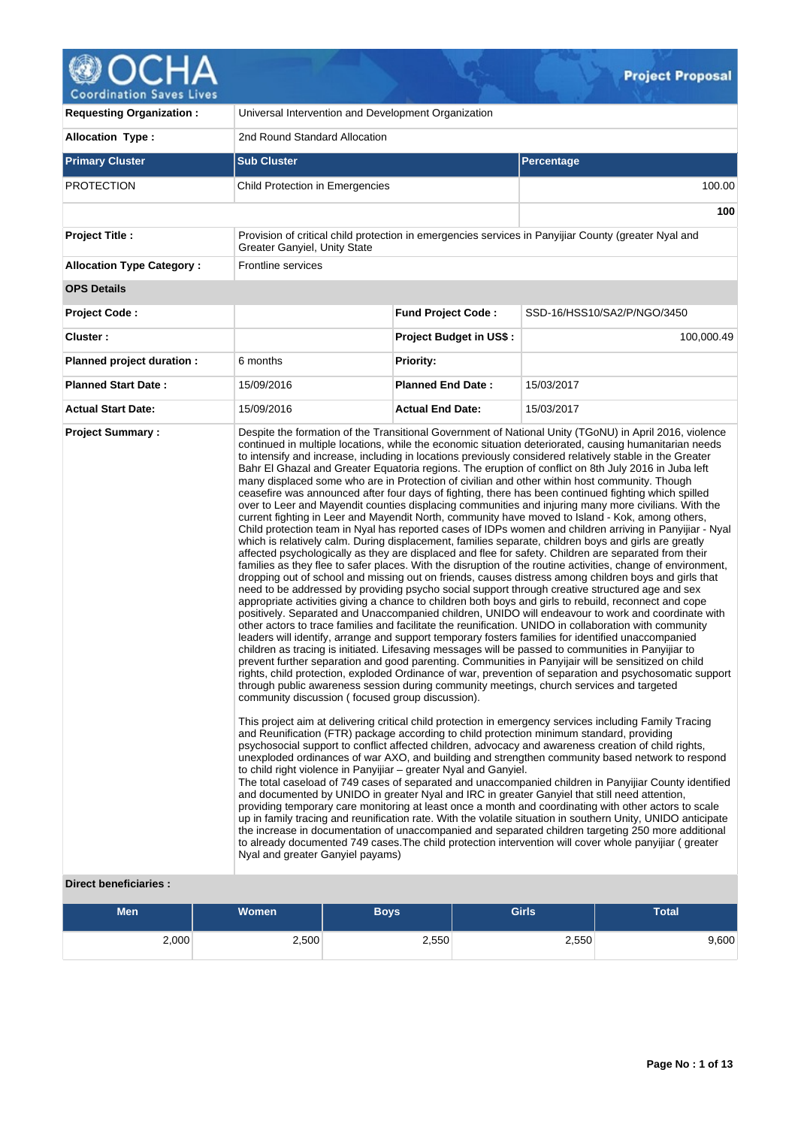

V.

| <b>Requesting Organization:</b>  | Universal Intervention and Development Organization                                                                                                                                                                                                   |                                |                                                                                                                                                                                                                                                                                                                                                                                                                                                                                                                                                                                                                                                                                                                                                                                                                                                                                                                                                                                                                                                                                                                                                                                                                                                                                                                                                                                                                                                                                                                                                                                                                                                                                                                                                                                                                                                                                                                                                                                                                                                                                                                                                                                                                                                                                                                                                                                                                                                                                                                                                                                                                                                                                                                                                                                                                                                                                                                                                                                                                                                                                                                                                                                                                                           |  |  |  |  |
|----------------------------------|-------------------------------------------------------------------------------------------------------------------------------------------------------------------------------------------------------------------------------------------------------|--------------------------------|-------------------------------------------------------------------------------------------------------------------------------------------------------------------------------------------------------------------------------------------------------------------------------------------------------------------------------------------------------------------------------------------------------------------------------------------------------------------------------------------------------------------------------------------------------------------------------------------------------------------------------------------------------------------------------------------------------------------------------------------------------------------------------------------------------------------------------------------------------------------------------------------------------------------------------------------------------------------------------------------------------------------------------------------------------------------------------------------------------------------------------------------------------------------------------------------------------------------------------------------------------------------------------------------------------------------------------------------------------------------------------------------------------------------------------------------------------------------------------------------------------------------------------------------------------------------------------------------------------------------------------------------------------------------------------------------------------------------------------------------------------------------------------------------------------------------------------------------------------------------------------------------------------------------------------------------------------------------------------------------------------------------------------------------------------------------------------------------------------------------------------------------------------------------------------------------------------------------------------------------------------------------------------------------------------------------------------------------------------------------------------------------------------------------------------------------------------------------------------------------------------------------------------------------------------------------------------------------------------------------------------------------------------------------------------------------------------------------------------------------------------------------------------------------------------------------------------------------------------------------------------------------------------------------------------------------------------------------------------------------------------------------------------------------------------------------------------------------------------------------------------------------------------------------------------------------------------------------------------------------|--|--|--|--|
| <b>Allocation Type:</b>          | 2nd Round Standard Allocation                                                                                                                                                                                                                         |                                |                                                                                                                                                                                                                                                                                                                                                                                                                                                                                                                                                                                                                                                                                                                                                                                                                                                                                                                                                                                                                                                                                                                                                                                                                                                                                                                                                                                                                                                                                                                                                                                                                                                                                                                                                                                                                                                                                                                                                                                                                                                                                                                                                                                                                                                                                                                                                                                                                                                                                                                                                                                                                                                                                                                                                                                                                                                                                                                                                                                                                                                                                                                                                                                                                                           |  |  |  |  |
| <b>Primary Cluster</b>           | <b>Sub Cluster</b>                                                                                                                                                                                                                                    |                                | <b>Percentage</b>                                                                                                                                                                                                                                                                                                                                                                                                                                                                                                                                                                                                                                                                                                                                                                                                                                                                                                                                                                                                                                                                                                                                                                                                                                                                                                                                                                                                                                                                                                                                                                                                                                                                                                                                                                                                                                                                                                                                                                                                                                                                                                                                                                                                                                                                                                                                                                                                                                                                                                                                                                                                                                                                                                                                                                                                                                                                                                                                                                                                                                                                                                                                                                                                                         |  |  |  |  |
| <b>PROTECTION</b>                | Child Protection in Emergencies                                                                                                                                                                                                                       |                                | 100.00                                                                                                                                                                                                                                                                                                                                                                                                                                                                                                                                                                                                                                                                                                                                                                                                                                                                                                                                                                                                                                                                                                                                                                                                                                                                                                                                                                                                                                                                                                                                                                                                                                                                                                                                                                                                                                                                                                                                                                                                                                                                                                                                                                                                                                                                                                                                                                                                                                                                                                                                                                                                                                                                                                                                                                                                                                                                                                                                                                                                                                                                                                                                                                                                                                    |  |  |  |  |
|                                  |                                                                                                                                                                                                                                                       |                                | 100                                                                                                                                                                                                                                                                                                                                                                                                                                                                                                                                                                                                                                                                                                                                                                                                                                                                                                                                                                                                                                                                                                                                                                                                                                                                                                                                                                                                                                                                                                                                                                                                                                                                                                                                                                                                                                                                                                                                                                                                                                                                                                                                                                                                                                                                                                                                                                                                                                                                                                                                                                                                                                                                                                                                                                                                                                                                                                                                                                                                                                                                                                                                                                                                                                       |  |  |  |  |
| <b>Project Title:</b>            | Greater Ganyiel, Unity State                                                                                                                                                                                                                          |                                | Provision of critical child protection in emergencies services in Panyijiar County (greater Nyal and                                                                                                                                                                                                                                                                                                                                                                                                                                                                                                                                                                                                                                                                                                                                                                                                                                                                                                                                                                                                                                                                                                                                                                                                                                                                                                                                                                                                                                                                                                                                                                                                                                                                                                                                                                                                                                                                                                                                                                                                                                                                                                                                                                                                                                                                                                                                                                                                                                                                                                                                                                                                                                                                                                                                                                                                                                                                                                                                                                                                                                                                                                                                      |  |  |  |  |
| <b>Allocation Type Category:</b> | Frontline services                                                                                                                                                                                                                                    |                                |                                                                                                                                                                                                                                                                                                                                                                                                                                                                                                                                                                                                                                                                                                                                                                                                                                                                                                                                                                                                                                                                                                                                                                                                                                                                                                                                                                                                                                                                                                                                                                                                                                                                                                                                                                                                                                                                                                                                                                                                                                                                                                                                                                                                                                                                                                                                                                                                                                                                                                                                                                                                                                                                                                                                                                                                                                                                                                                                                                                                                                                                                                                                                                                                                                           |  |  |  |  |
| <b>OPS Details</b>               |                                                                                                                                                                                                                                                       |                                |                                                                                                                                                                                                                                                                                                                                                                                                                                                                                                                                                                                                                                                                                                                                                                                                                                                                                                                                                                                                                                                                                                                                                                                                                                                                                                                                                                                                                                                                                                                                                                                                                                                                                                                                                                                                                                                                                                                                                                                                                                                                                                                                                                                                                                                                                                                                                                                                                                                                                                                                                                                                                                                                                                                                                                                                                                                                                                                                                                                                                                                                                                                                                                                                                                           |  |  |  |  |
| <b>Project Code:</b>             |                                                                                                                                                                                                                                                       | <b>Fund Project Code:</b>      | SSD-16/HSS10/SA2/P/NGO/3450                                                                                                                                                                                                                                                                                                                                                                                                                                                                                                                                                                                                                                                                                                                                                                                                                                                                                                                                                                                                                                                                                                                                                                                                                                                                                                                                                                                                                                                                                                                                                                                                                                                                                                                                                                                                                                                                                                                                                                                                                                                                                                                                                                                                                                                                                                                                                                                                                                                                                                                                                                                                                                                                                                                                                                                                                                                                                                                                                                                                                                                                                                                                                                                                               |  |  |  |  |
| Cluster:                         |                                                                                                                                                                                                                                                       | <b>Project Budget in US\$:</b> | 100,000.49                                                                                                                                                                                                                                                                                                                                                                                                                                                                                                                                                                                                                                                                                                                                                                                                                                                                                                                                                                                                                                                                                                                                                                                                                                                                                                                                                                                                                                                                                                                                                                                                                                                                                                                                                                                                                                                                                                                                                                                                                                                                                                                                                                                                                                                                                                                                                                                                                                                                                                                                                                                                                                                                                                                                                                                                                                                                                                                                                                                                                                                                                                                                                                                                                                |  |  |  |  |
| Planned project duration :       | 6 months                                                                                                                                                                                                                                              | <b>Priority:</b>               |                                                                                                                                                                                                                                                                                                                                                                                                                                                                                                                                                                                                                                                                                                                                                                                                                                                                                                                                                                                                                                                                                                                                                                                                                                                                                                                                                                                                                                                                                                                                                                                                                                                                                                                                                                                                                                                                                                                                                                                                                                                                                                                                                                                                                                                                                                                                                                                                                                                                                                                                                                                                                                                                                                                                                                                                                                                                                                                                                                                                                                                                                                                                                                                                                                           |  |  |  |  |
| <b>Planned Start Date:</b>       | 15/09/2016                                                                                                                                                                                                                                            | <b>Planned End Date:</b>       | 15/03/2017                                                                                                                                                                                                                                                                                                                                                                                                                                                                                                                                                                                                                                                                                                                                                                                                                                                                                                                                                                                                                                                                                                                                                                                                                                                                                                                                                                                                                                                                                                                                                                                                                                                                                                                                                                                                                                                                                                                                                                                                                                                                                                                                                                                                                                                                                                                                                                                                                                                                                                                                                                                                                                                                                                                                                                                                                                                                                                                                                                                                                                                                                                                                                                                                                                |  |  |  |  |
| <b>Actual Start Date:</b>        | 15/09/2016                                                                                                                                                                                                                                            | <b>Actual End Date:</b>        | 15/03/2017                                                                                                                                                                                                                                                                                                                                                                                                                                                                                                                                                                                                                                                                                                                                                                                                                                                                                                                                                                                                                                                                                                                                                                                                                                                                                                                                                                                                                                                                                                                                                                                                                                                                                                                                                                                                                                                                                                                                                                                                                                                                                                                                                                                                                                                                                                                                                                                                                                                                                                                                                                                                                                                                                                                                                                                                                                                                                                                                                                                                                                                                                                                                                                                                                                |  |  |  |  |
|                                  | community discussion (focused group discussion).<br>and Reunification (FTR) package according to child protection minimum standard, providing<br>to child right violence in Panyijiar - greater Nyal and Ganyiel.<br>Nyal and greater Ganyiel payams) |                                | continued in multiple locations, while the economic situation deteriorated, causing humanitarian needs<br>to intensify and increase, including in locations previously considered relatively stable in the Greater<br>Bahr El Ghazal and Greater Equatoria regions. The eruption of conflict on 8th July 2016 in Juba left<br>many displaced some who are in Protection of civilian and other within host community. Though<br>ceasefire was announced after four days of fighting, there has been continued fighting which spilled<br>over to Leer and Mayendit counties displacing communities and injuring many more civilians. With the<br>current fighting in Leer and Mayendit North, community have moved to Island - Kok, among others,<br>Child protection team in Nyal has reported cases of IDPs women and children arriving in Panyijiar - Nyal<br>which is relatively calm. During displacement, families separate, children boys and girls are greatly<br>affected psychologically as they are displaced and flee for safety. Children are separated from their<br>families as they flee to safer places. With the disruption of the routine activities, change of environment,<br>dropping out of school and missing out on friends, causes distress among children boys and girls that<br>need to be addressed by providing psycho social support through creative structured age and sex<br>appropriate activities giving a chance to children both boys and girls to rebuild, reconnect and cope<br>positively. Separated and Unaccompanied children, UNIDO will endeavour to work and coordinate with<br>other actors to trace families and facilitate the reunification. UNIDO in collaboration with community<br>leaders will identify, arrange and support temporary fosters families for identified unaccompanied<br>children as tracing is initiated. Lifesaving messages will be passed to communities in Panyijiar to<br>prevent further separation and good parenting. Communities in Panyijair will be sensitized on child<br>rights, child protection, exploded Ordinance of war, prevention of separation and psychosomatic support<br>through public awareness session during community meetings, church services and targeted<br>This project aim at delivering critical child protection in emergency services including Family Tracing<br>psychosocial support to conflict affected children, advocacy and awareness creation of child rights,<br>unexploded ordinances of war AXO, and building and strengthen community based network to respond<br>The total caseload of 749 cases of separated and unaccompanied children in Panyijiar County identified<br>and documented by UNIDO in greater Nyal and IRC in greater Ganyiel that still need attention,<br>providing temporary care monitoring at least once a month and coordinating with other actors to scale<br>up in family tracing and reunification rate. With the volatile situation in southern Unity, UNIDO anticipate<br>the increase in documentation of unaccompanied and separated children targeting 250 more additional<br>to already documented 749 cases. The child protection intervention will cover whole panyijiar (greater |  |  |  |  |

# **Direct beneficiaries :**

| <b>Men</b> | Women | Boys' | <b>Girls</b> | <b>Total</b> |
|------------|-------|-------|--------------|--------------|
| 2,000      | 2,500 | 2,550 | 2,550        | 9,600        |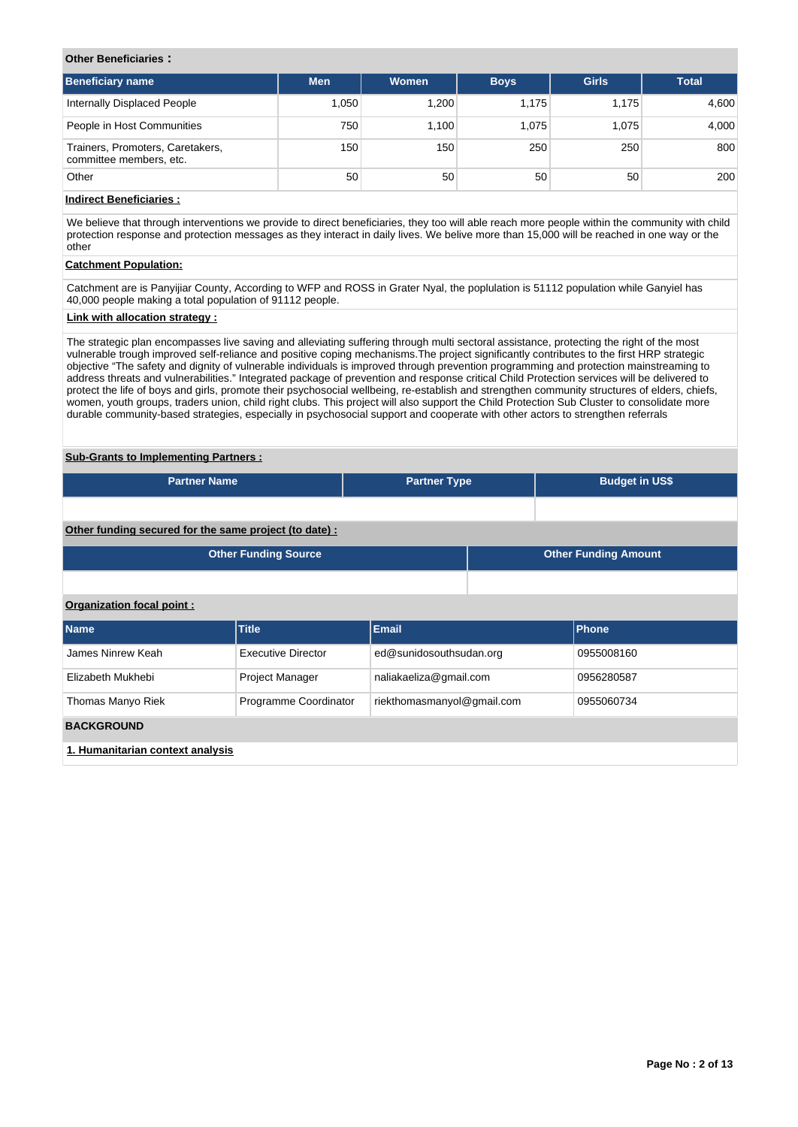### **Other Beneficiaries :**

| Beneficiary name                                            | <b>Men</b>      | Women | <b>Boys</b> | <b>Girls</b> | <b>Total</b> |
|-------------------------------------------------------------|-----------------|-------|-------------|--------------|--------------|
| Internally Displaced People                                 | 1.050           | 1,200 | 1.175       | 1.175        | 4,600        |
| People in Host Communities                                  | 750             | 1.100 | 1.075       | 1.075        | 4,000        |
| Trainers, Promoters, Caretakers,<br>committee members, etc. | 150             | 150   | 250         | 250          | 800          |
| Other                                                       | 50 <sup>1</sup> | 50    | 50          | 50           | 200          |

# **Indirect Beneficiaries :**

We believe that through interventions we provide to direct beneficiaries, they too will able reach more people within the community with child protection response and protection messages as they interact in daily lives. We belive more than 15,000 will be reached in one way or the other

# **Catchment Population:**

Catchment are is Panyijiar County, According to WFP and ROSS in Grater Nyal, the poplulation is 51112 population while Ganyiel has 40,000 people making a total population of 91112 people.

# **Link with allocation strategy :**

The strategic plan encompasses live saving and alleviating suffering through multi sectoral assistance, protecting the right of the most vulnerable trough improved self-reliance and positive coping mechanisms.The project significantly contributes to the first HRP strategic objective "The safety and dignity of vulnerable individuals is improved through prevention programming and protection mainstreaming to address threats and vulnerabilities." Integrated package of prevention and response critical Child Protection services will be delivered to protect the life of boys and girls, promote their psychosocial wellbeing, re-establish and strengthen community structures of elders, chiefs, women, youth groups, traders union, child right clubs. This project will also support the Child Protection Sub Cluster to consolidate more durable community-based strategies, especially in psychosocial support and cooperate with other actors to strengthen referrals

### **Sub-Grants to Implementing Partners :**

| <b>Partner Name</b>                                   |                             | <b>Partner Type</b>        |  |                             | <b>Budget in US\$</b> |  |  |  |
|-------------------------------------------------------|-----------------------------|----------------------------|--|-----------------------------|-----------------------|--|--|--|
|                                                       |                             |                            |  |                             |                       |  |  |  |
| Other funding secured for the same project (to date): |                             |                            |  |                             |                       |  |  |  |
|                                                       | <b>Other Funding Source</b> |                            |  | <b>Other Funding Amount</b> |                       |  |  |  |
|                                                       |                             |                            |  |                             |                       |  |  |  |
| Organization focal point:                             |                             |                            |  |                             |                       |  |  |  |
| <b>Name</b>                                           | <b>Title</b>                | <b>Email</b>               |  |                             | <b>Phone</b>          |  |  |  |
| James Ninrew Keah                                     | <b>Executive Director</b>   | ed@sunidosouthsudan.org    |  |                             | 0955008160            |  |  |  |
| Elizabeth Mukhebi                                     | <b>Project Manager</b>      | naliakaeliza@gmail.com     |  |                             | 0956280587            |  |  |  |
| Thomas Manyo Riek                                     | Programme Coordinator       | riekthomasmanyol@gmail.com |  |                             | 0955060734            |  |  |  |
| <b>BACKGROUND</b>                                     |                             |                            |  |                             |                       |  |  |  |
| 1. Humanitarian context analysis                      |                             |                            |  |                             |                       |  |  |  |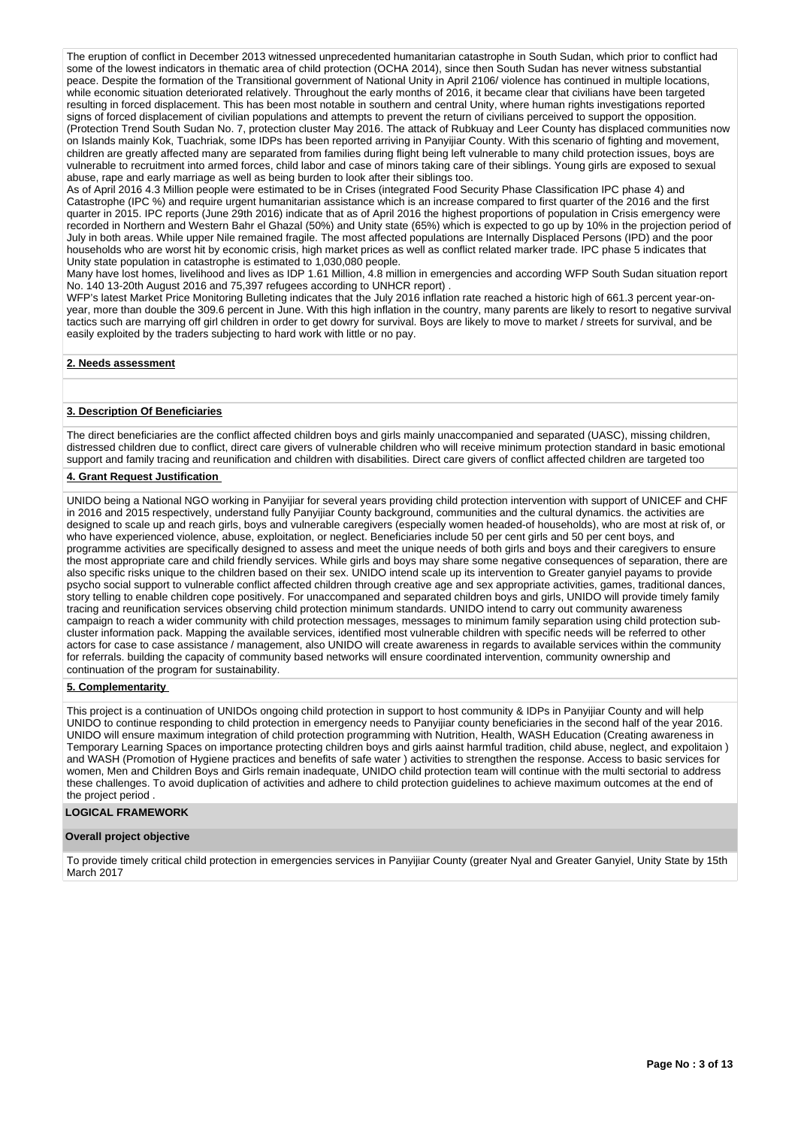The eruption of conflict in December 2013 witnessed unprecedented humanitarian catastrophe in South Sudan, which prior to conflict had some of the lowest indicators in thematic area of child protection (OCHA 2014), since then South Sudan has never witness substantial peace. Despite the formation of the Transitional government of National Unity in April 2106/ violence has continued in multiple locations, while economic situation deteriorated relatively. Throughout the early months of 2016, it became clear that civilians have been targeted resulting in forced displacement. This has been most notable in southern and central Unity, where human rights investigations reported signs of forced displacement of civilian populations and attempts to prevent the return of civilians perceived to support the opposition. (Protection Trend South Sudan No. 7, protection cluster May 2016. The attack of Rubkuay and Leer County has displaced communities now on Islands mainly Kok, Tuachriak, some IDPs has been reported arriving in Panyijiar County. With this scenario of fighting and movement, children are greatly affected many are separated from families during flight being left vulnerable to many child protection issues, boys are vulnerable to recruitment into armed forces, child labor and case of minors taking care of their siblings. Young girls are exposed to sexual abuse, rape and early marriage as well as being burden to look after their siblings too.

As of April 2016 4.3 Million people were estimated to be in Crises (integrated Food Security Phase Classification IPC phase 4) and Catastrophe (IPC %) and require urgent humanitarian assistance which is an increase compared to first quarter of the 2016 and the first quarter in 2015. IPC reports (June 29th 2016) indicate that as of April 2016 the highest proportions of population in Crisis emergency were recorded in Northern and Western Bahr el Ghazal (50%) and Unity state (65%) which is expected to go up by 10% in the projection period of July in both areas. While upper Nile remained fragile. The most affected populations are Internally Displaced Persons (IPD) and the poor households who are worst hit by economic crisis, high market prices as well as conflict related marker trade. IPC phase 5 indicates that Unity state population in catastrophe is estimated to 1,030,080 people.

Many have lost homes, livelihood and lives as IDP 1.61 Million, 4.8 million in emergencies and according WFP South Sudan situation report No. 140 13-20th August 2016 and 75,397 refugees according to UNHCR report) .

WFP's latest Market Price Monitoring Bulleting indicates that the July 2016 inflation rate reached a historic high of 661.3 percent year-onyear, more than double the 309.6 percent in June. With this high inflation in the country, many parents are likely to resort to negative survival tactics such are marrying off girl children in order to get dowry for survival. Boys are likely to move to market / streets for survival, and be easily exploited by the traders subjecting to hard work with little or no pay.

### **2. Needs assessment**

### **3. Description Of Beneficiaries**

The direct beneficiaries are the conflict affected children boys and girls mainly unaccompanied and separated (UASC), missing children, distressed children due to conflict, direct care givers of vulnerable children who will receive minimum protection standard in basic emotional support and family tracing and reunification and children with disabilities. Direct care givers of conflict affected children are targeted too

### **4. Grant Request Justification**

UNIDO being a National NGO working in Panyijiar for several years providing child protection intervention with support of UNICEF and CHF in 2016 and 2015 respectively, understand fully Panyijiar County background, communities and the cultural dynamics. the activities are designed to scale up and reach girls, boys and vulnerable caregivers (especially women headed-of households), who are most at risk of, or who have experienced violence, abuse, exploitation, or neglect. Beneficiaries include 50 per cent girls and 50 per cent boys, and programme activities are specifically designed to assess and meet the unique needs of both girls and boys and their caregivers to ensure the most appropriate care and child friendly services. While girls and boys may share some negative consequences of separation, there are also specific risks unique to the children based on their sex. UNIDO intend scale up its intervention to Greater ganyiel payams to provide psycho social support to vulnerable conflict affected children through creative age and sex appropriate activities, games, traditional dances, story telling to enable children cope positively. For unaccompaned and separated children boys and girls, UNIDO will provide timely family tracing and reunification services observing child protection minimum standards. UNIDO intend to carry out community awareness campaign to reach a wider community with child protection messages, messages to minimum family separation using child protection subcluster information pack. Mapping the available services, identified most vulnerable children with specific needs will be referred to other actors for case to case assistance / management, also UNIDO will create awareness in regards to available services within the community for referrals. building the capacity of community based networks will ensure coordinated intervention, community ownership and continuation of the program for sustainability.

### **5. Complementarity**

This project is a continuation of UNIDOs ongoing child protection in support to host community & IDPs in Panyijiar County and will help UNIDO to continue responding to child protection in emergency needs to Panyijiar county beneficiaries in the second half of the year 2016. UNIDO will ensure maximum integration of child protection programming with Nutrition, Health, WASH Education (Creating awareness in Temporary Learning Spaces on importance protecting children boys and girls aainst harmful tradition, child abuse, neglect, and expolitaion ) and WASH (Promotion of Hygiene practices and benefits of safe water ) activities to strengthen the response. Access to basic services for women, Men and Children Boys and Girls remain inadequate, UNIDO child protection team will continue with the multi sectorial to address these challenges. To avoid duplication of activities and adhere to child protection guidelines to achieve maximum outcomes at the end of the project period

#### **LOGICAL FRAMEWORK**

#### **Overall project objective**

To provide timely critical child protection in emergencies services in Panyijiar County (greater Nyal and Greater Ganyiel, Unity State by 15th March 2017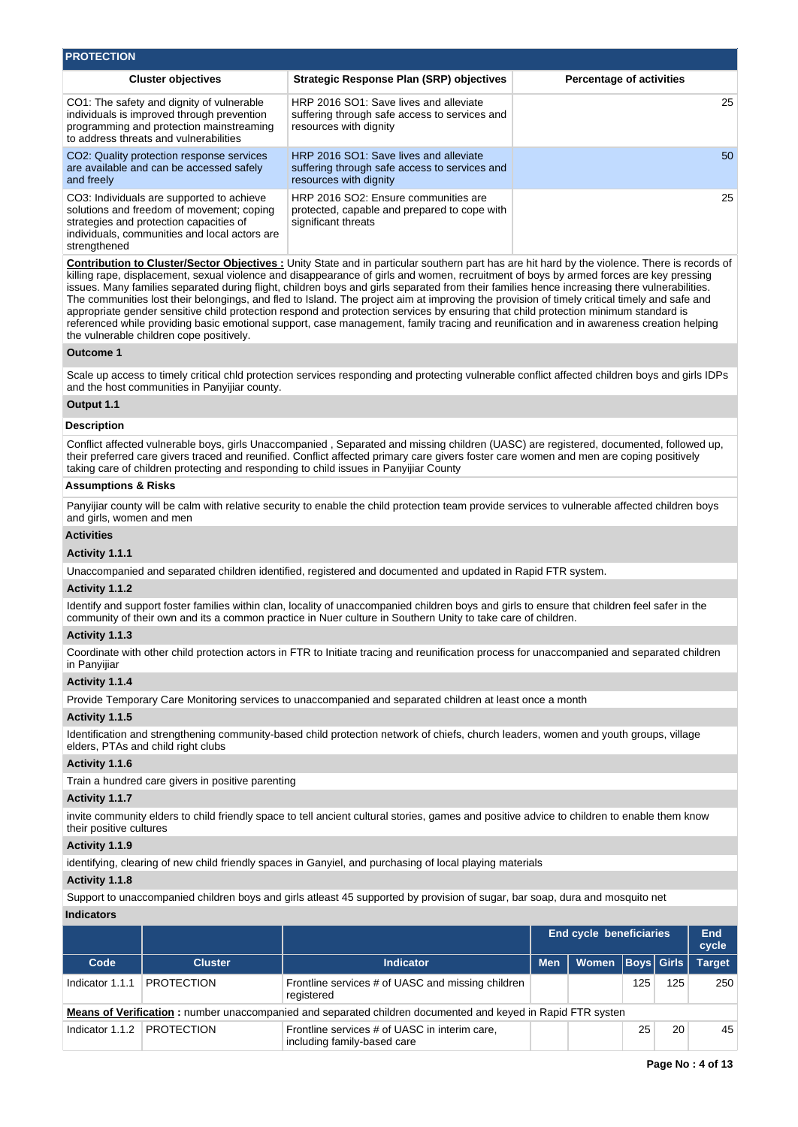| <b>PROTECTION</b>                                                                                                                                                                                  |                                                                                                                   |                                 |
|----------------------------------------------------------------------------------------------------------------------------------------------------------------------------------------------------|-------------------------------------------------------------------------------------------------------------------|---------------------------------|
| <b>Cluster objectives</b>                                                                                                                                                                          | <b>Strategic Response Plan (SRP) objectives</b>                                                                   | <b>Percentage of activities</b> |
| CO1: The safety and dignity of vulnerable<br>individuals is improved through prevention<br>programming and protection mainstreaming<br>to address threats and vulnerabilities                      | HRP 2016 SO1: Save lives and alleviate<br>suffering through safe access to services and<br>resources with dignity | 25                              |
| CO2: Quality protection response services<br>are available and can be accessed safely<br>and freely                                                                                                | HRP 2016 SO1: Save lives and alleviate<br>suffering through safe access to services and<br>resources with dignity | 50                              |
| CO3: Individuals are supported to achieve<br>solutions and freedom of movement; coping<br>strategies and protection capacities of<br>individuals, communities and local actors are<br>strengthened | HRP 2016 SO2: Ensure communities are<br>protected, capable and prepared to cope with<br>significant threats       | 25                              |

**Contribution to Cluster/Sector Objectives :** Unity State and in particular southern part has are hit hard by the violence. There is records of killing rape, displacement, sexual violence and disappearance of girls and women, recruitment of boys by armed forces are key pressing issues. Many families separated during flight, children boys and girls separated from their families hence increasing there vulnerabilities. The communities lost their belongings, and fled to Island. The project aim at improving the provision of timely critical timely and safe and appropriate gender sensitive child protection respond and protection services by ensuring that child protection minimum standard is referenced while providing basic emotional support, case management, family tracing and reunification and in awareness creation helping the vulnerable children cope positively.

#### **Outcome 1**

Scale up access to timely critical chld protection services responding and protecting vulnerable conflict affected children boys and girls IDPs and the host communities in Panyijiar county.

### **Output 1.1**

#### **Description**

Conflict affected vulnerable boys, girls Unaccompanied , Separated and missing children (UASC) are registered, documented, followed up, their preferred care givers traced and reunified. Conflict affected primary care givers foster care women and men are coping positively taking care of children protecting and responding to child issues in Panyijiar County

#### **Assumptions & Risks**

Panyijiar county will be calm with relative security to enable the child protection team provide services to vulnerable affected children boys and girls, women and men

### **Activities**

### **Activity 1.1.1**

Unaccompanied and separated children identified, registered and documented and updated in Rapid FTR system.

#### **Activity 1.1.2**

Identify and support foster families within clan, locality of unaccompanied children boys and girls to ensure that children feel safer in the community of their own and its a common practice in Nuer culture in Southern Unity to take care of children.

#### **Activity 1.1.3**

Coordinate with other child protection actors in FTR to Initiate tracing and reunification process for unaccompanied and separated children in Panyijiar

#### **Activity 1.1.4**

Provide Temporary Care Monitoring services to unaccompanied and separated children at least once a month

#### **Activity 1.1.5**

Identification and strengthening community-based child protection network of chiefs, church leaders, women and youth groups, village elders, PTAs and child right clubs

#### **Activity 1.1.6**

Train a hundred care givers in positive parenting

#### **Activity 1.1.7**

invite community elders to child friendly space to tell ancient cultural stories, games and positive advice to children to enable them know their positive cultures

#### **Activity 1.1.9**

identifying, clearing of new child friendly spaces in Ganyiel, and purchasing of local playing materials

#### **Activity 1.1.8**

Support to unaccompanied children boys and girls atleast 45 supported by provision of sugar, bar soap, dura and mosquito net

# **Indicators**

|                 |                   |                                                                                                             | <b>End cycle beneficiaries</b> |                      |     |     | End<br>cycle  |
|-----------------|-------------------|-------------------------------------------------------------------------------------------------------------|--------------------------------|----------------------|-----|-----|---------------|
| Code            | <b>Cluster</b>    | Indicator                                                                                                   | <b>Men</b>                     | Women   Boys   Girls |     |     | <b>Target</b> |
| Indicator 1.1.1 | <b>PROTECTION</b> | Frontline services # of UASC and missing children<br>registered                                             |                                |                      | 125 | 125 | 250           |
|                 |                   | Means of Verification: number unaccompanied and separated children documented and keyed in Rapid FTR systen |                                |                      |     |     |               |
| Indicator 1.1.2 | <b>PROTECTION</b> | Frontline services # of UASC in interim care,<br>including family-based care                                |                                |                      | 25  | 20  | 45            |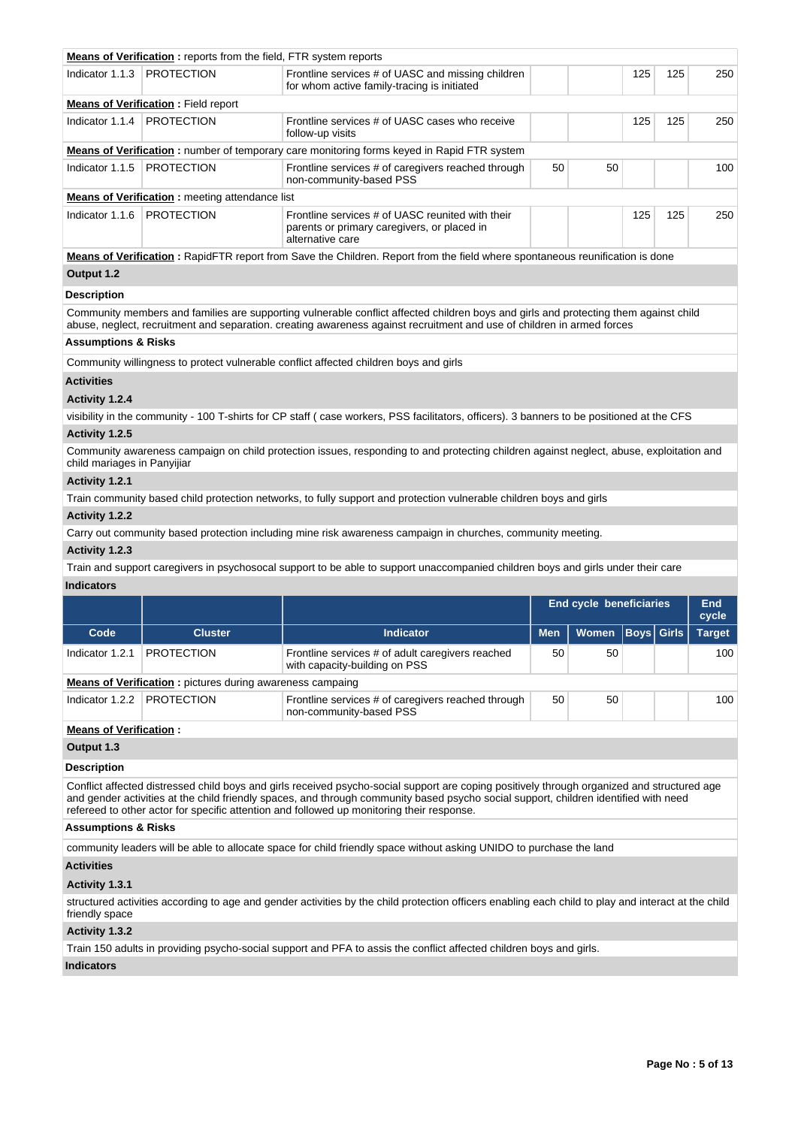|                                | <b>Means of Verification:</b> reports from the field, FTR system reports |                                                                                                                                                                                                                                                                |    |    |     |     |     |
|--------------------------------|--------------------------------------------------------------------------|----------------------------------------------------------------------------------------------------------------------------------------------------------------------------------------------------------------------------------------------------------------|----|----|-----|-----|-----|
| Indicator 1.1.3                | <b>PROTECTION</b>                                                        | Frontline services # of UASC and missing children<br>for whom active family-tracing is initiated                                                                                                                                                               |    |    | 125 | 125 | 250 |
|                                | <b>Means of Verification:</b> Field report                               |                                                                                                                                                                                                                                                                |    |    |     |     |     |
| Indicator 1.1.4                | <b>PROTECTION</b>                                                        | Frontline services # of UASC cases who receive<br>follow-up visits                                                                                                                                                                                             |    |    | 125 | 125 | 250 |
|                                |                                                                          | Means of Verification: number of temporary care monitoring forms keyed in Rapid FTR system                                                                                                                                                                     |    |    |     |     |     |
| Indicator 1.1.5                | <b>PROTECTION</b>                                                        | Frontline services # of caregivers reached through<br>non-community-based PSS                                                                                                                                                                                  | 50 | 50 |     |     | 100 |
|                                | <b>Means of Verification:</b> meeting attendance list                    |                                                                                                                                                                                                                                                                |    |    |     |     |     |
| Indicator 1.1.6                | <b>PROTECTION</b>                                                        | Frontline services # of UASC reunited with their<br>parents or primary caregivers, or placed in<br>alternative care                                                                                                                                            |    |    | 125 | 125 | 250 |
|                                |                                                                          | Means of Verification: RapidFTR report from Save the Children. Report from the field where spontaneous reunification is done                                                                                                                                   |    |    |     |     |     |
| Output 1.2                     |                                                                          |                                                                                                                                                                                                                                                                |    |    |     |     |     |
| <b>Description</b>             |                                                                          |                                                                                                                                                                                                                                                                |    |    |     |     |     |
|                                |                                                                          | Community members and families are supporting vulnerable conflict affected children boys and girls and protecting them against child<br>abuse, neglect, recruitment and separation. creating awareness against recruitment and use of children in armed forces |    |    |     |     |     |
| <b>Assumptions &amp; Risks</b> |                                                                          |                                                                                                                                                                                                                                                                |    |    |     |     |     |
|                                |                                                                          | Community willingness to protect vulnerable conflict affected children boys and girls                                                                                                                                                                          |    |    |     |     |     |
| <b>Activities</b>              |                                                                          |                                                                                                                                                                                                                                                                |    |    |     |     |     |
| Activity 1.2.4                 |                                                                          |                                                                                                                                                                                                                                                                |    |    |     |     |     |
|                                |                                                                          | visibility in the community - 100 T-shirts for CP staff (case workers, PSS facilitators, officers). 3 banners to be positioned at the CFS                                                                                                                      |    |    |     |     |     |
| Activity 1.2.5                 |                                                                          |                                                                                                                                                                                                                                                                |    |    |     |     |     |
| child mariages in Panyijiar    |                                                                          | Community awareness campaign on child protection issues, responding to and protecting children against neglect, abuse, exploitation and                                                                                                                        |    |    |     |     |     |
| Activity 1.2.1                 |                                                                          |                                                                                                                                                                                                                                                                |    |    |     |     |     |
|                                |                                                                          | Train community based child protection networks, to fully support and protection vulnerable children boys and girls                                                                                                                                            |    |    |     |     |     |
| Activity 1.2.2                 |                                                                          |                                                                                                                                                                                                                                                                |    |    |     |     |     |
|                                |                                                                          | Carry out community based protection including mine risk awareness campaign in churches, community meeting.                                                                                                                                                    |    |    |     |     |     |

Carry out community based protection including mine risk awareness campaign in churches, community meeting.

# **Activity 1.2.3**

Train and support caregivers in psychosocal support to be able to support unaccompanied children boys and girls under their care **Indicators**

|                                                                             |                                                                  |                                                                                   |            | <b>End cycle beneficiaries</b> | End<br>cycle      |               |
|-----------------------------------------------------------------------------|------------------------------------------------------------------|-----------------------------------------------------------------------------------|------------|--------------------------------|-------------------|---------------|
| Code                                                                        | <b>Cluster</b>                                                   | <b>Indicator</b>                                                                  | <b>Men</b> | Women                          | <b>Boys Girls</b> | <b>Target</b> |
| Indicator 1.2.1                                                             | <b>PROTECTION</b>                                                | Frontline services # of adult caregivers reached<br>with capacity-building on PSS | 50         | 50                             |                   | 100           |
|                                                                             | <b>Means of Verification:</b> pictures during awareness campaing |                                                                                   |            |                                |                   |               |
| Indicator 1.2.2                                                             | <b>PROTECTION</b>                                                | Frontline services # of caregivers reached through<br>non-community-based PSS     |            | 50                             |                   | 100           |
| $\mathbf{A}$ , and a set $\mathbf{A}$ , and $\mathbf{B}$ , and $\mathbf{A}$ |                                                                  |                                                                                   |            |                                |                   |               |

### **Means of Verification :**

**Output 1.3**

# **Description**

Conflict affected distressed child boys and girls received psycho-social support are coping positively through organized and structured age and gender activities at the child friendly spaces, and through community based psycho social support, children identified with need refereed to other actor for specific attention and followed up monitoring their response.

# **Assumptions & Risks**

community leaders will be able to allocate space for child friendly space without asking UNIDO to purchase the land

#### **Activities**

# **Activity 1.3.1**

structured activities according to age and gender activities by the child protection officers enabling each child to play and interact at the child friendly space

### **Activity 1.3.2**

Train 150 adults in providing psycho-social support and PFA to assis the conflict affected children boys and girls.

# **Indicators**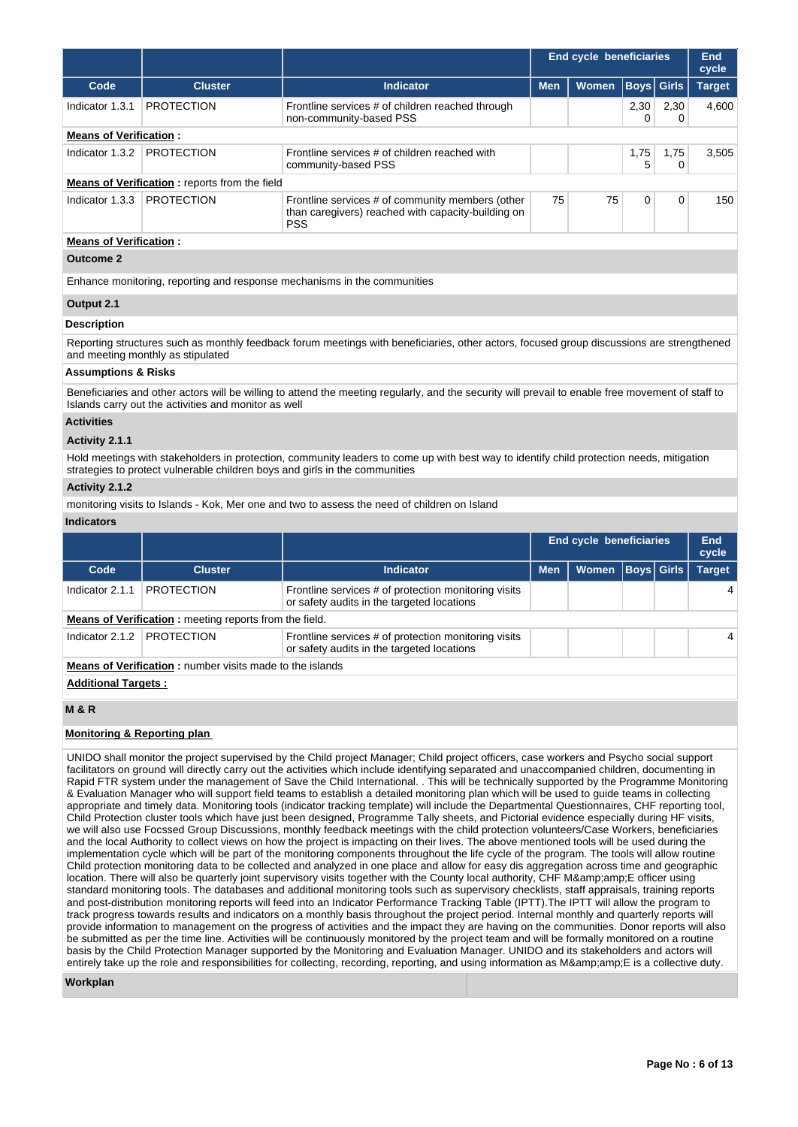|                                |                                                                             |                                                                                                                                                   |            | <b>End cycle beneficiaries</b> |             |              | <b>End</b><br>cycle |           |       |
|--------------------------------|-----------------------------------------------------------------------------|---------------------------------------------------------------------------------------------------------------------------------------------------|------------|--------------------------------|-------------|--------------|---------------------|-----------|-------|
| Code                           | <b>Cluster</b>                                                              | <b>Indicator</b>                                                                                                                                  | <b>Men</b> | Women                          | <b>Boys</b> | <b>Girls</b> | <b>Target</b>       |           |       |
| Indicator 1.3.1                | <b>PROTECTION</b>                                                           | Frontline services # of children reached through<br>non-community-based PSS                                                                       |            |                                | 2,30<br>0   | 2,30<br>0    | 4,600               |           |       |
| <b>Means of Verification:</b>  |                                                                             |                                                                                                                                                   |            |                                |             |              |                     |           |       |
| Indicator 1.3.2                | <b>PROTECTION</b>                                                           | Frontline services # of children reached with<br>community-based PSS                                                                              |            | 1,75<br>5                      |             |              |                     | 1,75<br>0 | 3,505 |
|                                | <b>Means of Verification:</b> reports from the field                        |                                                                                                                                                   |            |                                |             |              |                     |           |       |
| Indicator 1.3.3                | <b>PROTECTION</b>                                                           | Frontline services # of community members (other<br>than caregivers) reached with capacity-building on<br><b>PSS</b>                              | 75         | 75                             | 0           | 0            | 150                 |           |       |
| <b>Means of Verification:</b>  |                                                                             |                                                                                                                                                   |            |                                |             |              |                     |           |       |
| <b>Outcome 2</b>               |                                                                             |                                                                                                                                                   |            |                                |             |              |                     |           |       |
|                                |                                                                             | Enhance monitoring, reporting and response mechanisms in the communities                                                                          |            |                                |             |              |                     |           |       |
| Output 2.1                     |                                                                             |                                                                                                                                                   |            |                                |             |              |                     |           |       |
| <b>Description</b>             |                                                                             |                                                                                                                                                   |            |                                |             |              |                     |           |       |
|                                | and meeting monthly as stipulated                                           | Reporting structures such as monthly feedback forum meetings with beneficiaries, other actors, focused group discussions are strengthened         |            |                                |             |              |                     |           |       |
| <b>Assumptions &amp; Risks</b> |                                                                             |                                                                                                                                                   |            |                                |             |              |                     |           |       |
|                                | Islands carry out the activities and monitor as well                        | Beneficiaries and other actors will be willing to attend the meeting regularly, and the security will prevail to enable free movement of staff to |            |                                |             |              |                     |           |       |
| <b>Activities</b>              |                                                                             |                                                                                                                                                   |            |                                |             |              |                     |           |       |
| Activity 2.1.1                 |                                                                             |                                                                                                                                                   |            |                                |             |              |                     |           |       |
|                                | strategies to protect vulnerable children boys and girls in the communities | Hold meetings with stakeholders in protection, community leaders to come up with best way to identify child protection needs, mitigation          |            |                                |             |              |                     |           |       |
| Activity 2.1.2                 |                                                                             |                                                                                                                                                   |            |                                |             |              |                     |           |       |
|                                |                                                                             | monitoring visits to Islands - Kok, Mer one and two to assess the need of children on Island                                                      |            |                                |             |              |                     |           |       |
| <b>Indicators</b>              |                                                                             |                                                                                                                                                   |            |                                |             |              |                     |           |       |
|                                |                                                                             |                                                                                                                                                   |            | <b>End cycle beneficiaries</b> |             |              | End<br>cycle        |           |       |
| Code                           | <b>Cluster</b>                                                              | <b>Indicator</b>                                                                                                                                  | <b>Men</b> | Women                          | <b>Boys</b> | <b>Girls</b> | <b>Target</b>       |           |       |
| Indicator 2.1.1                | <b>PROTECTION</b>                                                           | Frontline services # of protection monitoring visits<br>or safety audits in the targeted locations                                                |            |                                |             |              | 4                   |           |       |
|                                | Means of Verification: meeting reports from the field.                      |                                                                                                                                                   |            |                                |             |              |                     |           |       |
| Indicator 2.1.2                | <b>PROTECTION</b>                                                           | Frontline services # of protection monitoring visits<br>or safety audits in the targeted locations                                                |            |                                |             |              | $\overline{4}$      |           |       |
|                                | <b>Means of Verification:</b> number visits made to the islands             |                                                                                                                                                   |            |                                |             |              |                     |           |       |
| <b>Additional Targets:</b>     |                                                                             |                                                                                                                                                   |            |                                |             |              |                     |           |       |

# **M & R**

### **Monitoring & Reporting plan**

UNIDO shall monitor the project supervised by the Child project Manager; Child project officers, case workers and Psycho social support facilitators on ground will directly carry out the activities which include identifying separated and unaccompanied children, documenting in Rapid FTR system under the management of Save the Child International. . This will be technically supported by the Programme Monitoring & Evaluation Manager who will support field teams to establish a detailed monitoring plan which will be used to guide teams in collecting appropriate and timely data. Monitoring tools (indicator tracking template) will include the Departmental Questionnaires, CHF reporting tool, Child Protection cluster tools which have just been designed, Programme Tally sheets, and Pictorial evidence especially during HF visits, we will also use Focssed Group Discussions, monthly feedback meetings with the child protection volunteers/Case Workers, beneficiaries and the local Authority to collect views on how the project is impacting on their lives. The above mentioned tools will be used during the implementation cycle which will be part of the monitoring components throughout the life cycle of the program. The tools will allow routine Child protection monitoring data to be collected and analyzed in one place and allow for easy dis aggregation across time and geographic location. There will also be quarterly joint supervisory visits together with the County local authority, CHF M&E officer using standard monitoring tools. The databases and additional monitoring tools such as supervisory checklists, staff appraisals, training reports and post-distribution monitoring reports will feed into an Indicator Performance Tracking Table (IPTT).The IPTT will allow the program to track progress towards results and indicators on a monthly basis throughout the project period. Internal monthly and quarterly reports will provide information to management on the progress of activities and the impact they are having on the communities. Donor reports will also be submitted as per the time line. Activities will be continuously monitored by the project team and will be formally monitored on a routine basis by the Child Protection Manager supported by the Monitoring and Evaluation Manager. UNIDO and its stakeholders and actors will entirely take up the role and responsibilities for collecting, recording, reporting, and using information as M&E is a collective duty.

#### **Workplan**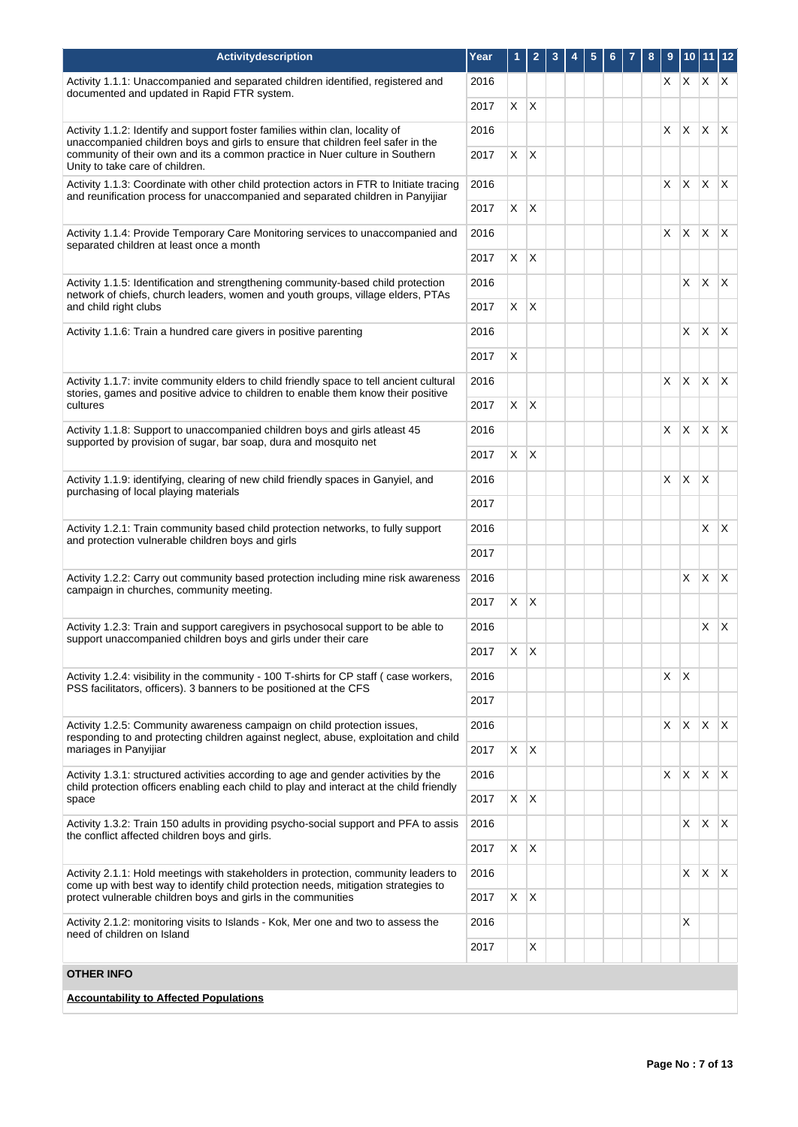| <b>Activitydescription</b>                                                                                                                                                                                                                       | Year         | 1       | $\overline{2}$ | 3 | 5 | 6 | 7 | 8 | 9  |              | 10 11 12     |              |
|--------------------------------------------------------------------------------------------------------------------------------------------------------------------------------------------------------------------------------------------------|--------------|---------|----------------|---|---|---|---|---|----|--------------|--------------|--------------|
| Activity 1.1.1: Unaccompanied and separated children identified, registered and<br>documented and updated in Rapid FTR system.                                                                                                                   | 2016         |         |                |   |   |   |   |   | X. | X.           | $X$ $X$      |              |
|                                                                                                                                                                                                                                                  | 2017         | X       | $\mathsf{X}$   |   |   |   |   |   |    |              |              |              |
| Activity 1.1.2: Identify and support foster families within clan, locality of<br>unaccompanied children boys and girls to ensure that children feel safer in the<br>community of their own and its a common practice in Nuer culture in Southern | 2016<br>2017 |         |                |   |   |   |   |   | X  | X.           | ΙX.          | $\mathsf{X}$ |
| Unity to take care of children.                                                                                                                                                                                                                  |              | X       | X              |   |   |   |   |   |    |              |              |              |
| Activity 1.1.3: Coordinate with other child protection actors in FTR to Initiate tracing<br>and reunification process for unaccompanied and separated children in Panyijiar                                                                      | 2016<br>2017 | X       | ΙX             |   |   |   |   |   | X  | X            | X            | $\mathsf{X}$ |
|                                                                                                                                                                                                                                                  |              |         |                |   |   |   |   |   |    | X.           | $\mathsf{X}$ | $\mathsf{X}$ |
| Activity 1.1.4: Provide Temporary Care Monitoring services to unaccompanied and<br>separated children at least once a month                                                                                                                      | 2016<br>2017 | X.      | $\mathsf{X}$   |   |   |   |   |   | X  |              |              |              |
|                                                                                                                                                                                                                                                  |              |         |                |   |   |   |   |   |    |              |              |              |
| Activity 1.1.5: Identification and strengthening community-based child protection<br>network of chiefs, church leaders, women and youth groups, village elders, PTAs<br>and child right clubs                                                    | 2016<br>2017 | X       | X              |   |   |   |   |   |    | X            | $\mathsf{X}$ | $\mathsf{X}$ |
| Activity 1.1.6: Train a hundred care givers in positive parenting                                                                                                                                                                                |              |         |                |   |   |   |   |   |    | X.           | $\mathsf{X}$ | ΙX.          |
|                                                                                                                                                                                                                                                  | 2016<br>2017 |         |                |   |   |   |   |   |    |              |              |              |
|                                                                                                                                                                                                                                                  |              | X       |                |   |   |   |   |   |    |              |              |              |
| Activity 1.1.7: invite community elders to child friendly space to tell ancient cultural<br>stories, games and positive advice to children to enable them know their positive                                                                    | 2016         |         |                |   |   |   |   |   | X  | $\mathsf{X}$ | $\mathsf{X}$ | $\mathsf{X}$ |
| cultures                                                                                                                                                                                                                                         | 2017         | X.      | $\mathsf{X}$   |   |   |   |   |   |    |              |              |              |
| Activity 1.1.8: Support to unaccompanied children boys and girls atleast 45<br>supported by provision of sugar, bar soap, dura and mosquito net                                                                                                  |              |         |                |   |   |   |   |   | X  | <b>X</b>     | $\mathsf{X}$ | $\mathsf{X}$ |
|                                                                                                                                                                                                                                                  |              | X.      | $\mathsf{X}$   |   |   |   |   |   |    |              |              |              |
| Activity 1.1.9: identifying, clearing of new child friendly spaces in Ganyiel, and<br>purchasing of local playing materials                                                                                                                      |              |         |                |   |   |   |   |   | X  | $\mathsf{X}$ | $\mathsf{X}$ |              |
|                                                                                                                                                                                                                                                  | 2017         |         |                |   |   |   |   |   |    |              |              |              |
| Activity 1.2.1: Train community based child protection networks, to fully support<br>and protection vulnerable children boys and girls                                                                                                           | 2016         |         |                |   |   |   |   |   |    |              | X            | $\mathsf{X}$ |
|                                                                                                                                                                                                                                                  | 2017         |         |                |   |   |   |   |   |    |              |              |              |
| Activity 1.2.2: Carry out community based protection including mine risk awareness                                                                                                                                                               | 2016         |         |                |   |   |   |   |   |    | X            | X            | $\mathsf{X}$ |
| campaign in churches, community meeting.                                                                                                                                                                                                         | 2017         | X.      | $\mathsf{X}$   |   |   |   |   |   |    |              |              |              |
| Activity 1.2.3: Train and support caregivers in psychosocal support to be able to<br>support unaccompanied children boys and girls under their care                                                                                              | 2016         |         |                |   |   |   |   |   |    |              | X            | $\mathsf{X}$ |
|                                                                                                                                                                                                                                                  | 2017         | $X$ $X$ |                |   |   |   |   |   |    |              |              |              |
| Activity 1.2.4: visibility in the community - 100 T-shirts for CP staff (case workers,<br>PSS facilitators, officers). 3 banners to be positioned at the CFS                                                                                     | 2016         |         |                |   |   |   |   |   | X  | X            |              |              |
|                                                                                                                                                                                                                                                  | 2017         |         |                |   |   |   |   |   |    |              |              |              |
| Activity 1.2.5: Community awareness campaign on child protection issues,                                                                                                                                                                         | 2016         |         |                |   |   |   |   |   | X  | X.           | X            | $\mathsf{X}$ |
| responding to and protecting children against neglect, abuse, exploitation and child<br>mariages in Panyijiar                                                                                                                                    | 2017         | X       | ΙX             |   |   |   |   |   |    |              |              |              |
| Activity 1.3.1: structured activities according to age and gender activities by the<br>child protection officers enabling each child to play and interact at the child friendly                                                                  | 2016         |         |                |   |   |   |   |   | X  | $\mathsf{X}$ | $\mathsf{X}$ | $\mathsf{X}$ |
| space                                                                                                                                                                                                                                            | 2017         | X       | $\mathsf{X}$   |   |   |   |   |   |    |              |              |              |
| Activity 1.3.2: Train 150 adults in providing psycho-social support and PFA to assis                                                                                                                                                             | 2016         |         |                |   |   |   |   |   |    | X.           | $\mathsf{X}$ | $\mathsf{X}$ |
| the conflict affected children boys and girls.                                                                                                                                                                                                   | 2017         | X       | $\mathsf{X}$   |   |   |   |   |   |    |              |              |              |
| Activity 2.1.1: Hold meetings with stakeholders in protection, community leaders to                                                                                                                                                              | 2016         |         |                |   |   |   |   |   |    | X            | X            | $\mathsf{X}$ |
| come up with best way to identify child protection needs, mitigation strategies to<br>protect vulnerable children boys and girls in the communities                                                                                              | 2017         | X       | X              |   |   |   |   |   |    |              |              |              |
| Activity 2.1.2: monitoring visits to Islands - Kok, Mer one and two to assess the                                                                                                                                                                | 2016         |         |                |   |   |   |   |   |    | X.           |              |              |
| need of children on Island                                                                                                                                                                                                                       | 2017         |         | X              |   |   |   |   |   |    |              |              |              |
| OTHER INFO                                                                                                                                                                                                                                       |              |         |                |   |   |   |   |   |    |              |              |              |
| <b>Accountability to Affected Populations</b>                                                                                                                                                                                                    |              |         |                |   |   |   |   |   |    |              |              |              |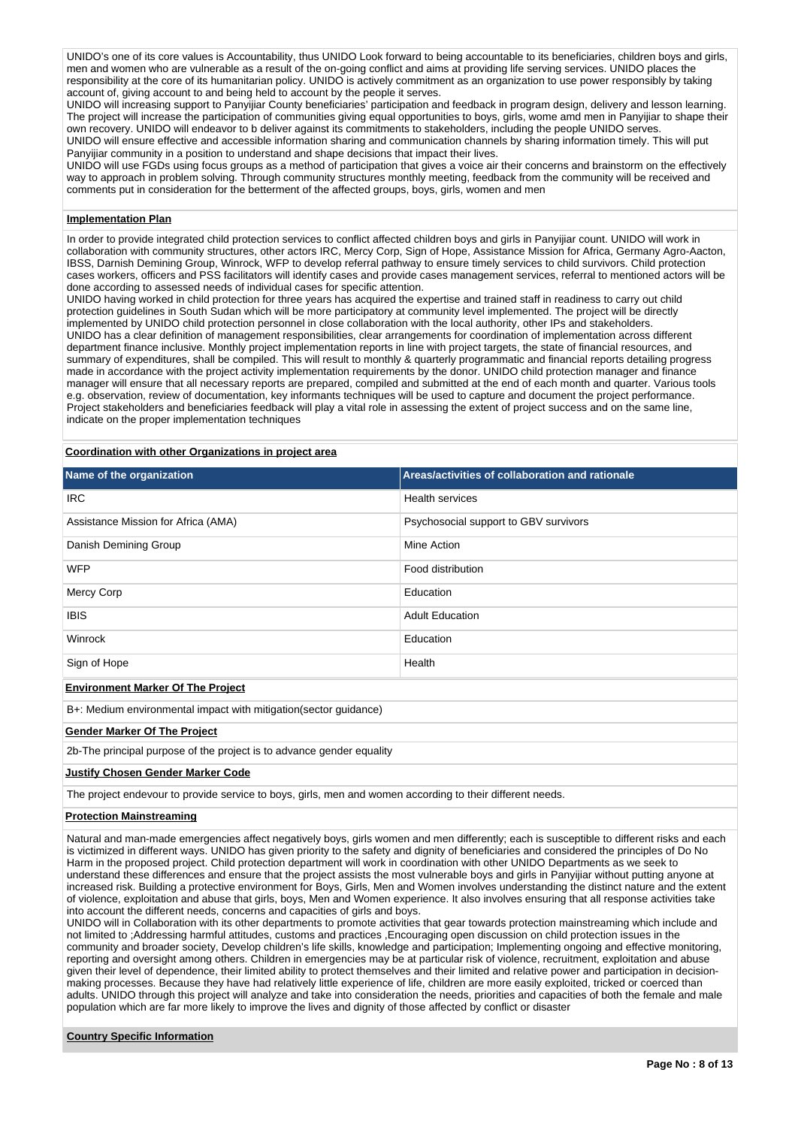UNIDO's one of its core values is Accountability, thus UNIDO Look forward to being accountable to its beneficiaries, children boys and girls, men and women who are vulnerable as a result of the on-going conflict and aims at providing life serving services. UNIDO places the responsibility at the core of its humanitarian policy. UNIDO is actively commitment as an organization to use power responsibly by taking account of, giving account to and being held to account by the people it serves.

UNIDO will increasing support to Panyijiar County beneficiaries' participation and feedback in program design, delivery and lesson learning. The project will increase the participation of communities giving equal opportunities to boys, girls, wome amd men in Panyijiar to shape their own recovery. UNIDO will endeavor to b deliver against its commitments to stakeholders, including the people UNIDO serves. UNIDO will ensure effective and accessible information sharing and communication channels by sharing information timely. This will put Panyijiar community in a position to understand and shape decisions that impact their lives.

UNIDO will use FGDs using focus groups as a method of participation that gives a voice air their concerns and brainstorm on the effectively way to approach in problem solving. Through community structures monthly meeting, feedback from the community will be received and comments put in consideration for the betterment of the affected groups, boys, girls, women and men

#### **Implementation Plan**

In order to provide integrated child protection services to conflict affected children boys and girls in Panyijiar count. UNIDO will work in collaboration with community structures, other actors IRC, Mercy Corp, Sign of Hope, Assistance Mission for Africa, Germany Agro-Aacton, IBSS, Darnish Demining Group, Winrock, WFP to develop referral pathway to ensure timely services to child survivors. Child protection cases workers, officers and PSS facilitators will identify cases and provide cases management services, referral to mentioned actors will be done according to assessed needs of individual cases for specific attention.

UNIDO having worked in child protection for three years has acquired the expertise and trained staff in readiness to carry out child protection guidelines in South Sudan which will be more participatory at community level implemented. The project will be directly implemented by UNIDO child protection personnel in close collaboration with the local authority, other IPs and stakeholders. UNIDO has a clear definition of management responsibilities, clear arrangements for coordination of implementation across different department finance inclusive. Monthly project implementation reports in line with project targets, the state of financial resources, and summary of expenditures, shall be compiled. This will result to monthly & quarterly programmatic and financial reports detailing progress made in accordance with the project activity implementation requirements by the donor. UNIDO child protection manager and finance manager will ensure that all necessary reports are prepared, compiled and submitted at the end of each month and quarter. Various tools e.g. observation, review of documentation, key informants techniques will be used to capture and document the project performance. Project stakeholders and beneficiaries feedback will play a vital role in assessing the extent of project success and on the same line, indicate on the proper implementation techniques

### **Coordination with other Organizations in project area**

| Name of the organization                                                                                  | Areas/activities of collaboration and rationale |  |  |  |  |  |
|-----------------------------------------------------------------------------------------------------------|-------------------------------------------------|--|--|--|--|--|
| <b>IRC</b>                                                                                                | <b>Health services</b>                          |  |  |  |  |  |
| Assistance Mission for Africa (AMA)                                                                       | Psychosocial support to GBV survivors           |  |  |  |  |  |
| Danish Demining Group                                                                                     | Mine Action                                     |  |  |  |  |  |
| <b>WFP</b><br>Food distribution                                                                           |                                                 |  |  |  |  |  |
| Mercy Corp                                                                                                | Education                                       |  |  |  |  |  |
| <b>IBIS</b>                                                                                               | <b>Adult Education</b>                          |  |  |  |  |  |
| Winrock                                                                                                   | Education                                       |  |  |  |  |  |
| Sign of Hope                                                                                              | Health                                          |  |  |  |  |  |
| <b>Environment Marker Of The Project</b>                                                                  |                                                 |  |  |  |  |  |
| B+: Medium environmental impact with mitigation (sector guidance)                                         |                                                 |  |  |  |  |  |
| <b>Gender Marker Of The Project</b>                                                                       |                                                 |  |  |  |  |  |
| 2b-The principal purpose of the project is to advance gender equality                                     |                                                 |  |  |  |  |  |
| <b>Justify Chosen Gender Marker Code</b>                                                                  |                                                 |  |  |  |  |  |
| The project endevour to provide service to boys, girls, men and women according to their different needs. |                                                 |  |  |  |  |  |

# **Protection Mainstreaming**

Natural and man-made emergencies affect negatively boys, girls women and men differently; each is susceptible to different risks and each is victimized in different ways. UNIDO has given priority to the safety and dignity of beneficiaries and considered the principles of Do No Harm in the proposed project. Child protection department will work in coordination with other UNIDO Departments as we seek to understand these differences and ensure that the project assists the most vulnerable boys and girls in Panyijiar without putting anyone at increased risk. Building a protective environment for Boys, Girls, Men and Women involves understanding the distinct nature and the extent of violence, exploitation and abuse that girls, boys, Men and Women experience. It also involves ensuring that all response activities take into account the different needs, concerns and capacities of girls and boys.

UNIDO will in Collaboration with its other departments to promote activities that gear towards protection mainstreaming which include and not limited to ;Addressing harmful attitudes, customs and practices ,Encouraging open discussion on child protection issues in the community and broader society, Develop children's life skills, knowledge and participation; Implementing ongoing and effective monitoring, reporting and oversight among others. Children in emergencies may be at particular risk of violence, recruitment, exploitation and abuse given their level of dependence, their limited ability to protect themselves and their limited and relative power and participation in decisionmaking processes. Because they have had relatively little experience of life, children are more easily exploited, tricked or coerced than adults. UNIDO through this project will analyze and take into consideration the needs, priorities and capacities of both the female and male population which are far more likely to improve the lives and dignity of those affected by conflict or disaster

### **Country Specific Information**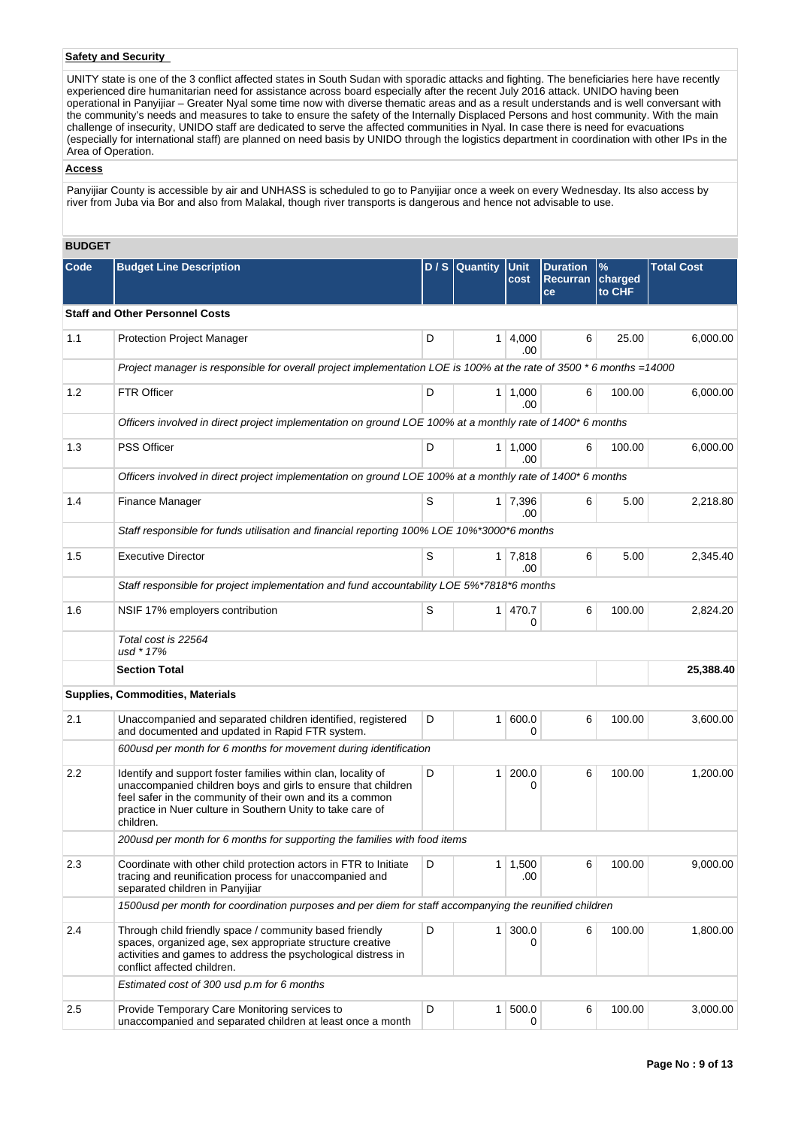## **Safety and Security**

UNITY state is one of the 3 conflict affected states in South Sudan with sporadic attacks and fighting. The beneficiaries here have recently experienced dire humanitarian need for assistance across board especially after the recent July 2016 attack. UNIDO having been operational in Panyijiar – Greater Nyal some time now with diverse thematic areas and as a result understands and is well conversant with the community's needs and measures to take to ensure the safety of the Internally Displaced Persons and host community. With the main challenge of insecurity, UNIDO staff are dedicated to serve the affected communities in Nyal. In case there is need for evacuations (especially for international staff) are planned on need basis by UNIDO through the logistics department in coordination with other IPs in the Area of Operation.

# **Access**

Panyijiar County is accessible by air and UNHASS is scheduled to go to Panyijiar once a week on every Wednesday. Its also access by river from Juba via Bor and also from Malakal, though river transports is dangerous and hence not advisable to use.

# **BUDGET**

| Code | <b>Budget Line Description</b>                                                                                                                                                                                                                                         |   | D / S Quantity | Unit<br>cost          | <b>Duration</b><br><b>Recurran</b><br>ce | $\%$<br>charged<br>to CHF | <b>Total Cost</b> |
|------|------------------------------------------------------------------------------------------------------------------------------------------------------------------------------------------------------------------------------------------------------------------------|---|----------------|-----------------------|------------------------------------------|---------------------------|-------------------|
|      | <b>Staff and Other Personnel Costs</b>                                                                                                                                                                                                                                 |   |                |                       |                                          |                           |                   |
| 1.1  | <b>Protection Project Manager</b>                                                                                                                                                                                                                                      | D | 1 <sup>1</sup> | 4,000<br>.00          | 6                                        | 25.00                     | 6,000.00          |
|      | Project manager is responsible for overall project implementation LOE is 100% at the rate of 3500 * 6 months =14000                                                                                                                                                    |   |                |                       |                                          |                           |                   |
| 1.2  | <b>FTR Officer</b>                                                                                                                                                                                                                                                     | D |                | $1 \mid 1,000$<br>.00 | 6                                        | 100.00                    | 6.000.00          |
|      | Officers involved in direct project implementation on ground LOE 100% at a monthly rate of 1400* 6 months                                                                                                                                                              |   |                |                       |                                          |                           |                   |
| 1.3  | <b>PSS Officer</b>                                                                                                                                                                                                                                                     | D |                | $1 \mid 1,000$<br>.00 | 6                                        | 100.00                    | 6,000.00          |
|      | Officers involved in direct project implementation on ground LOE 100% at a monthly rate of 1400* 6 months                                                                                                                                                              |   |                |                       |                                          |                           |                   |
| 1.4  | Finance Manager                                                                                                                                                                                                                                                        | S |                | 1 7,396<br>.00        | 6                                        | 5.00                      | 2,218.80          |
|      | Staff responsible for funds utilisation and financial reporting 100% LOE 10%*3000*6 months                                                                                                                                                                             |   |                |                       |                                          |                           |                   |
| 1.5  | <b>Executive Director</b>                                                                                                                                                                                                                                              | S |                | $1 \mid 7,818$<br>.00 | 6                                        | 5.00                      | 2.345.40          |
|      | Staff responsible for project implementation and fund accountability LOE 5%*7818*6 months                                                                                                                                                                              |   |                |                       |                                          |                           |                   |
| 1.6  | NSIF 17% employers contribution                                                                                                                                                                                                                                        | S |                | 1 470.7<br>$\Omega$   | 6                                        | 100.00                    | 2,824.20          |
|      | Total cost is 22564<br>usd * 17%                                                                                                                                                                                                                                       |   |                |                       |                                          |                           |                   |
|      | <b>Section Total</b>                                                                                                                                                                                                                                                   |   |                |                       |                                          |                           | 25,388.40         |
|      | <b>Supplies, Commodities, Materials</b>                                                                                                                                                                                                                                |   |                |                       |                                          |                           |                   |
| 2.1  | Unaccompanied and separated children identified, registered<br>and documented and updated in Rapid FTR system.                                                                                                                                                         | D | 1 <sup>1</sup> | 600.0<br>0            | 6                                        | 100.00                    | 3,600.00          |
|      | 600usd per month for 6 months for movement during identification                                                                                                                                                                                                       |   |                |                       |                                          |                           |                   |
| 2.2  | Identify and support foster families within clan, locality of<br>unaccompanied children boys and girls to ensure that children<br>feel safer in the community of their own and its a common<br>practice in Nuer culture in Southern Unity to take care of<br>children. | D | $\mathbf{1}$   | 200.0<br>0            | 6                                        | 100.00                    | 1,200.00          |
|      | 200usd per month for 6 months for supporting the families with food items                                                                                                                                                                                              |   |                |                       |                                          |                           |                   |
| 2.3  | Coordinate with other child protection actors in FTR to Initiate<br>tracing and reunification process for unaccompanied and<br>separated children in Panyijiar                                                                                                         | D | 1              | 1,500<br>.00          | 6                                        | 100.00                    | 9,000.00          |
|      | 1500usd per month for coordination purposes and per diem for staff accompanying the reunified children                                                                                                                                                                 |   |                |                       |                                          |                           |                   |
| 2.4  | Through child friendly space / community based friendly<br>spaces, organized age, sex appropriate structure creative<br>activities and games to address the psychological distress in<br>conflict affected children.                                                   | D |                | $1 \mid 300.0$<br>0   | 6                                        | 100.00                    | 1,800.00          |
|      | Estimated cost of 300 usd p.m for 6 months                                                                                                                                                                                                                             |   |                |                       |                                          |                           |                   |
| 2.5  | Provide Temporary Care Monitoring services to<br>unaccompanied and separated children at least once a month                                                                                                                                                            | D | 1 <sup>1</sup> | 500.0<br>0            | 6                                        | 100.00                    | 3,000.00          |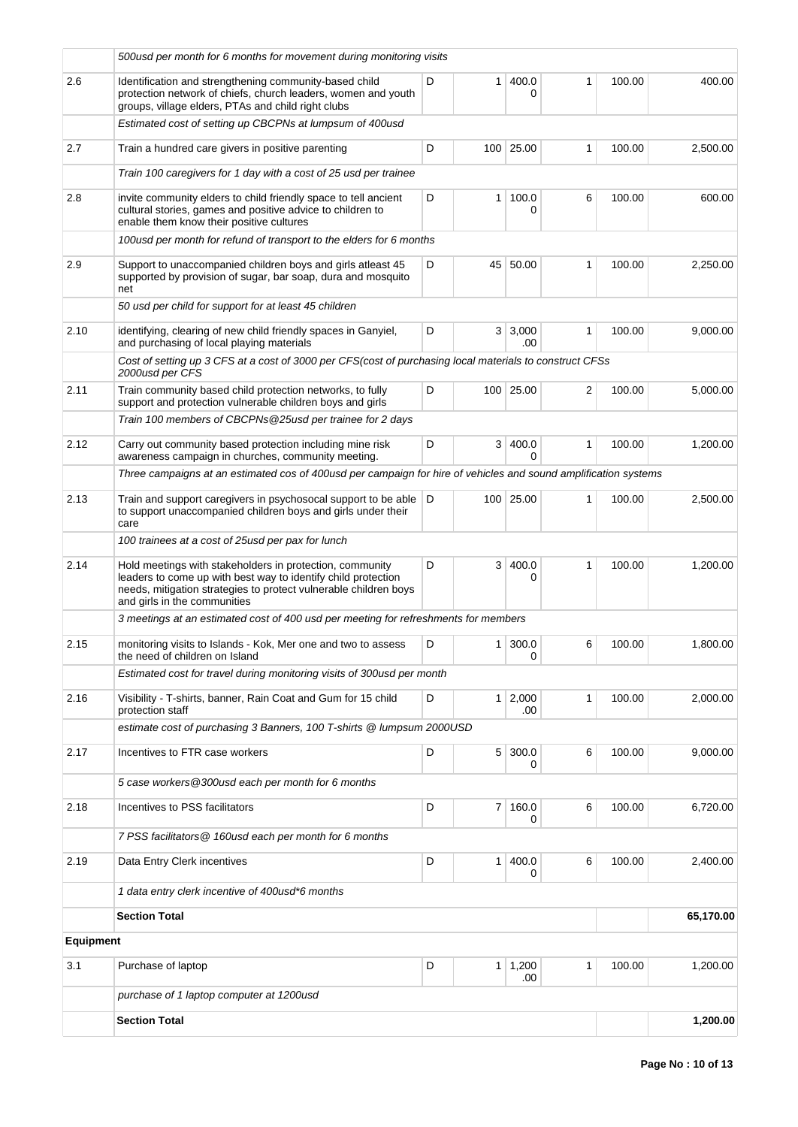|                  | 500 usd per month for 6 months for movement during monitoring visits                                                                                                                                                          |   |                |                       |   |        |           |
|------------------|-------------------------------------------------------------------------------------------------------------------------------------------------------------------------------------------------------------------------------|---|----------------|-----------------------|---|--------|-----------|
| 2.6              | Identification and strengthening community-based child<br>protection network of chiefs, church leaders, women and youth<br>groups, village elders, PTAs and child right clubs                                                 | D | $\mathbf{1}$   | 400.0                 | 1 | 100.00 | 400.00    |
|                  | Estimated cost of setting up CBCPNs at lumpsum of 400usd                                                                                                                                                                      |   |                |                       |   |        |           |
| 2.7              | Train a hundred care givers in positive parenting                                                                                                                                                                             | D |                | 100 25.00             | 1 | 100.00 | 2,500.00  |
|                  | Train 100 caregivers for 1 day with a cost of 25 usd per trainee                                                                                                                                                              |   |                |                       |   |        |           |
| 2.8              | invite community elders to child friendly space to tell ancient<br>cultural stories, games and positive advice to children to<br>enable them know their positive cultures                                                     | D | $\mathbf{1}$   | 100.0<br>0            | 6 | 100.00 | 600.00    |
|                  | 100usd per month for refund of transport to the elders for 6 months                                                                                                                                                           |   |                |                       |   |        |           |
| 2.9              | Support to unaccompanied children boys and girls atleast 45<br>supported by provision of sugar, bar soap, dura and mosquito<br>net                                                                                            | D | 45             | 50.00                 | 1 | 100.00 | 2,250.00  |
|                  | 50 usd per child for support for at least 45 children                                                                                                                                                                         |   |                |                       |   |        |           |
| 2.10             | identifying, clearing of new child friendly spaces in Ganyiel,<br>and purchasing of local playing materials                                                                                                                   | D |                | 3 3,000<br>.00        | 1 | 100.00 | 9,000.00  |
|                  | Cost of setting up 3 CFS at a cost of 3000 per CFS(cost of purchasing local materials to construct CFSs<br>2000usd per CFS                                                                                                    |   |                |                       |   |        |           |
| 2.11             | Train community based child protection networks, to fully<br>support and protection vulnerable children boys and girls                                                                                                        | D |                | 100 25.00             | 2 | 100.00 | 5,000.00  |
|                  | Train 100 members of CBCPNs@25usd per trainee for 2 days                                                                                                                                                                      |   |                |                       |   |        |           |
| 2.12             | Carry out community based protection including mine risk<br>awareness campaign in churches, community meeting.                                                                                                                | D | 3 <sup>1</sup> | 400.0<br>0            | 1 | 100.00 | 1,200.00  |
|                  | Three campaigns at an estimated cos of 400usd per campaign for hire of vehicles and sound amplification systems                                                                                                               |   |                |                       |   |        |           |
| 2.13             | Train and support caregivers in psychosocal support to be able D<br>to support unaccompanied children boys and girls under their<br>care                                                                                      |   |                | 100 25.00             | 1 | 100.00 | 2,500.00  |
|                  | 100 trainees at a cost of 25 usd per pax for lunch                                                                                                                                                                            |   |                |                       |   |        |           |
| 2.14             | Hold meetings with stakeholders in protection, community<br>leaders to come up with best way to identify child protection<br>needs, mitigation strategies to protect vulnerable children boys<br>and girls in the communities | D | 3              | 400.0<br>0            | 1 | 100.00 | 1,200.00  |
|                  | 3 meetings at an estimated cost of 400 usd per meeting for refreshments for members                                                                                                                                           |   |                |                       |   |        |           |
| 2.15             | monitoring visits to Islands - Kok, Mer one and two to assess<br>the need of children on Island                                                                                                                               | D |                | $1 \mid 300.0$<br>0   | 6 | 100.00 | 1,800.00  |
|                  | Estimated cost for travel during monitoring visits of 300usd per month                                                                                                                                                        |   |                |                       |   |        |           |
| 2.16             | Visibility - T-shirts, banner, Rain Coat and Gum for 15 child<br>protection staff                                                                                                                                             | D | 1 <sup>1</sup> | 2,000<br>.00          | 1 | 100.00 | 2.000.00  |
|                  | estimate cost of purchasing 3 Banners, 100 T-shirts @ lumpsum 2000USD                                                                                                                                                         |   |                |                       |   |        |           |
| 2.17             | Incentives to FTR case workers                                                                                                                                                                                                | D | 5 <sup>1</sup> | 300.0<br>0            | 6 | 100.00 | 9,000.00  |
|                  | 5 case workers @300usd each per month for 6 months                                                                                                                                                                            |   |                |                       |   |        |           |
| 2.18             | Incentives to PSS facilitators                                                                                                                                                                                                | D |                | 7 160.0<br>0          | 6 | 100.00 | 6,720.00  |
|                  | 7 PSS facilitators @ 160usd each per month for 6 months                                                                                                                                                                       |   |                |                       |   |        |           |
| 2.19             | Data Entry Clerk incentives                                                                                                                                                                                                   | D | $\mathbf{1}$   | 400.0<br>0            | 6 | 100.00 | 2,400.00  |
|                  | 1 data entry clerk incentive of 400 usd*6 months                                                                                                                                                                              |   |                |                       |   |        |           |
|                  | <b>Section Total</b>                                                                                                                                                                                                          |   |                |                       |   |        | 65,170.00 |
| <b>Equipment</b> |                                                                                                                                                                                                                               |   |                |                       |   |        |           |
| 3.1              | Purchase of laptop                                                                                                                                                                                                            | D |                | $1 \mid 1,200$<br>.00 | 1 | 100.00 | 1,200.00  |
|                  | purchase of 1 laptop computer at 1200usd                                                                                                                                                                                      |   |                |                       |   |        |           |
|                  | <b>Section Total</b>                                                                                                                                                                                                          |   |                |                       |   |        | 1,200.00  |